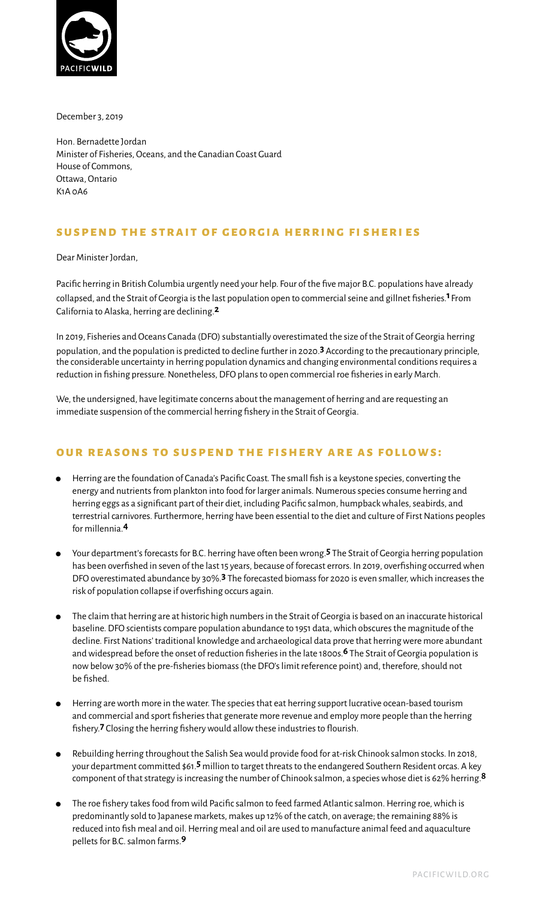

December 3, 2019

Hon. Bernadette Jordan Minister of Fisheries, Oceans, and the Canadian Coast Guard House of Commons, Ottawa, Ontario K1A 0A6

### **suspend the strait of georgia herring f i sheri es**

Dear Minister Jordan,

Pacific herring in British Columbia urgently need your help. Four of the five major B.C. populations have already collapsed, and the Strait of Georgia is the last population open to commercial seine and gillnet fisheries.**1** From California to Alaska, herring are declining.**2**

In 2019, Fisheries and Oceans Canada (DFO) substantially overestimated the size of the Strait of Georgia herring population, and the population is predicted to decline further in 2020.**3** According to the precautionary principle, the considerable uncertainty in herring population dynamics and changing environmental conditions requires a reduction in fishing pressure. Nonetheless, DFO plans to open commercial roe fisheries in early March.

We, the undersigned, have legitimate concerns about the management of herring and are requesting an immediate suspension of the commercial herring fishery in the Strait of Georgia.

# **OUR REASONS TO SUSPEND THE FISHERY ARE AS FOLLOWS:**

- ⚫ Herring are the foundation of Canada's Pacific Coast. The small fish is a keystone species, converting the energy and nutrients from plankton into food for larger animals. Numerous species consume herring and herring eggs as a significant part of their diet, including Pacific salmon, humpback whales, seabirds, and terrestrial carnivores. Furthermore, herring have been essential to the diet and culture of First Nations peoples for millennia.**4**
- ⚫ Your department's forecasts for B.C. herring have often been wrong.**5** The Strait of Georgia herring population has been overfished in seven of the last 15 years, because of forecast errors. In 2019, overfishing occurred when DFO overestimated abundance by 30%.**3** The forecasted biomass for 2020 is even smaller, which increases the risk of population collapse if overfishing occurs again.
- ⚫ The claim that herring are at historic high numbers in the Strait of Georgia is based on an inaccurate historical baseline. DFO scientists compare population abundance to 1951 data, which obscures the magnitude of the decline. First Nations' traditional knowledge and archaeological data prove that herring were more abundant and widespread before the onset of reduction fisheries in the late 1800s.**6** The Strait of Georgia population is now below 30% of the pre-fisheries biomass (the DFO's limit reference point) and, therefore, should not be fished.
- ⚫ Herring are worth more in the water. The species that eat herring support lucrative ocean-based tourism and commercial and sport fisheries that generate more revenue and employ more people than the herring fishery.**7** Closing the herring fishery would allow these industries to flourish.
- ⚫ Rebuilding herring throughout the Salish Sea would provide food for at-risk Chinook salmon stocks. In 2018, your department committed \$61.**5** million to target threats to the endangered Southern Resident orcas. A key component of that strategy is increasing the number of Chinook salmon, a species whose diet is 62% herring.**8**
- ⚫ The roe fishery takes food from wild Pacific salmon to feed farmed Atlantic salmon. Herring roe, which is predominantly sold to Japanese markets, makes up 12% of the catch, on average; the remaining 88% is reduced into fish meal and oil. Herring meal and oil are used to manufacture animal feed and aquaculture pellets for B.C. salmon farms.**9**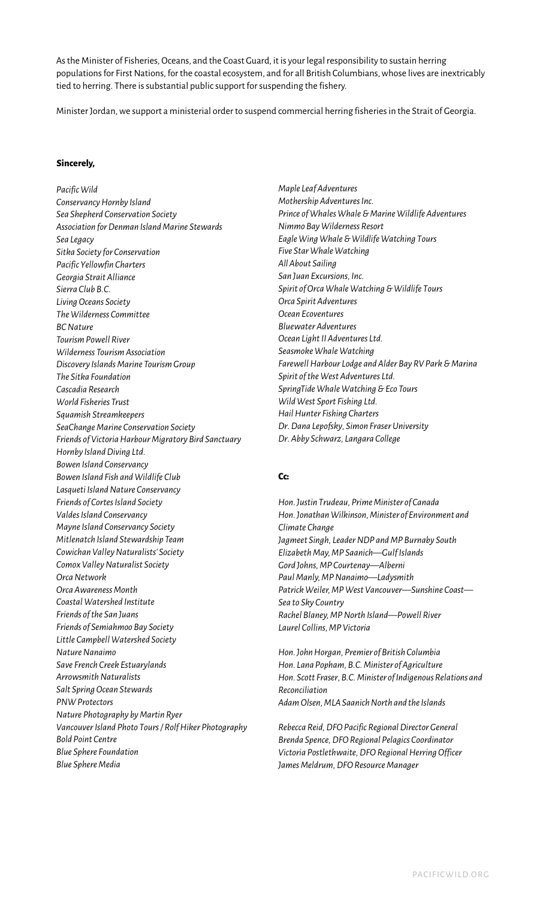As the Minister of Fisheries, Oceans, and the Coast Guard, it is your legal responsibility to sustain herring populations for First Nations, for the coastal ecosystem, and for all British Columbians, whose lives are inextricably tied to herring. There is substantial public support for suspending the fishery.

Minister Jordan, we support a ministerial order to suspend commercial herring fisheries in the Strait of Georgia.

#### **Sincerely,**

*Pacific Wild Conservancy Hornby Island Sea Shepherd Conservation Society Association for Denman Island Marine Stewards Sea Legacy Sitka Society for Conservation Pacific Yellowfin Charters Georgia Strait Alliance Sierra Club B.C. Living Oceans Society The Wilderness Committee BC Nature Tourism Powell River Wilderness Tourism Association Discovery Islands Marine Tourism Group The Sitka Foundation Cascadia Research World Fisheries Trust Squamish Streamkeepers SeaChange Marine Conservation Society Friends of Victoria Harbour Migratory Bird Sanctuary Hornby Island Diving Ltd. Bowen Island Conservancy Bowen Island Fish and Wildlife Club Lasqueti Island Nature Conservancy Friends of Cortes Island Society Valdes Island Conservancy Mayne Island Conservancy Society Mitlenatch Island Stewardship Team Cowichan Valley Naturalists' Society Comox Valley Naturalist Society Orca Network Orca Awareness Month Coastal Watershed Institute Friends of the San Juans Friends of Semiahmoo Bay Society Little Campbell Watershed Society Nature Nanaimo Save French Creek Estuarylands Arrowsmith Naturalists Salt Spring Ocean Stewards PNW Protectors Nature Photography by Martin Ryer Vancouver Island Photo Tours / Rolf Hiker Photography Bold Point Centre Blue Sphere Foundation Blue Sphere Media*

*Maple Leaf Adventures Mothership Adventures Inc. Prince of Whales Whale & Marine Wildlife Adventures Nimmo Bay Wilderness Resort Eagle Wing Whale & Wildlife Watching Tours Five Star Whale Watching All About Sailing San Juan Excursions, Inc. Spirit of Orca Whale Watching & Wildlife Tours Orca Spirit Adventures Ocean Ecoventures Bluewater Adventures Ocean Light II Adventures Ltd. Seasmoke Whale Watching Farewell Harbour Lodge and Alder Bay RV Park & Marina Spirit of the West Adventures Ltd. SpringTide Whale Watching & Eco Tours Wild West Sport Fishing Ltd. Hail Hunter Fishing Charters Dr. Dana Lepofsky, Simon Fraser University Dr. Abby Schwarz, Langara College*

### **Cc:**

*Hon. Justin Trudeau, Prime Minister of Canada Hon. Jonathan Wilkinson, Minister of Environment and Climate Change Jagmeet Singh, Leader NDP and MP Burnaby South Elizabeth May, MP Saanich—Gulf Islands Gord Johns, MP Courtenay—Alberni Paul Manly, MP Nanaimo—Ladysmith Patrick Weiler, MP West Vancouver—Sunshine Coast— Sea to Sky Country Rachel Blaney, MP North Island—Powell River Laurel Collins, MP Victoria*

*Hon. John Horgan, Premier of British Columbia Hon. Lana Popham, B.C. Minister of Agriculture Hon. Scott Fraser, B.C. Minister of Indigenous Relations and Reconciliation Adam Olsen, MLA Saanich North and the Islands*

*Rebecca Reid, DFO Pacific Regional Director General Brenda Spence, DFO Regional Pelagics Coordinator Victoria Postlethwaite, DFO Regional Herring Officer James Meldrum, DFO Resource Manager*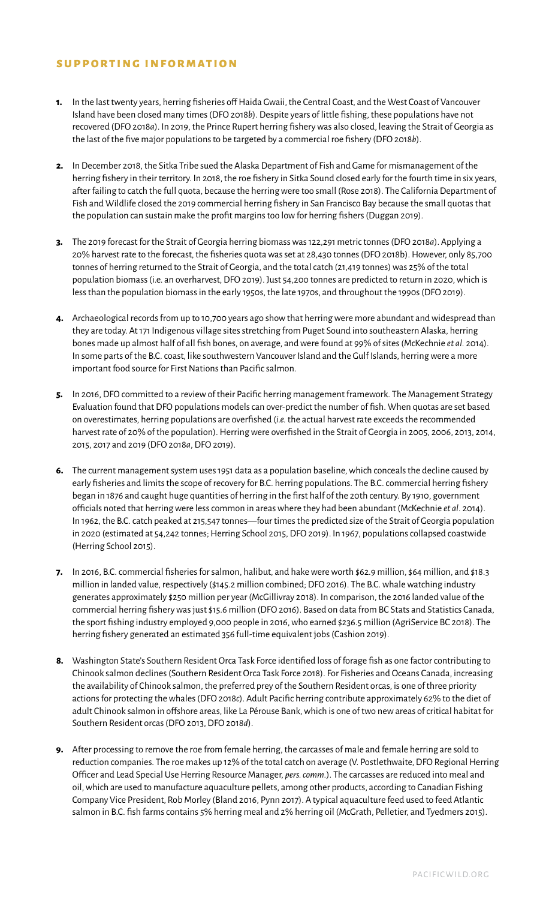## **supporting information**

- **1.** In the last twenty years, herring fisheries off Haida Gwaii, the Central Coast, and the West Coast of Vancouver Island have been closed many times (DFO 2018*b*). Despite years of little fishing, these populations have not recovered (DFO 2018*a*). In 2019, the Prince Rupert herring fishery was also closed, leaving the Strait of Georgia as the last of the five major populations to be targeted by a commercial roe fishery (DFO 2018*b*).
- **2.** In December 2018, the Sitka Tribe sued the Alaska Department of Fish and Game for mismanagement of the herring fishery in their territory. In 2018, the roe fishery in Sitka Sound closed early for the fourth time in six years, after failing to catch the full quota, because the herring were too small (Rose 2018). The California Department of Fish and Wildlife closed the 2019 commercial herring fishery in San Francisco Bay because the small quotas that the population can sustain make the profit margins too low for herring fishers (Duggan 2019).
- **3.** The 2019 forecast for the Strait of Georgia herring biomass was 122,291 metric tonnes (DFO 2018*a*). Applying a 20% harvest rate to the forecast, the fisheries quota was set at 28,430 tonnes (DFO 2018b). However, only 85,700 tonnes of herring returned to the Strait of Georgia, and the total catch (21,419 tonnes) was 25% of the total population biomass (i.e. an overharvest, DFO 2019). Just 54,200 tonnes are predicted to return in 2020, which is less than the population biomass in the early 1950s, the late 1970s, and throughout the 1990s (DFO 2019).
- **4.** Archaeological records from up to 10,700 years ago show that herring were more abundant and widespread than they are today. At 171 Indigenous village sites stretching from Puget Sound into southeastern Alaska, herring bones made up almost half of all fish bones, on average, and were found at 99% of sites (McKechnie *et al.* 2014). In some parts of the B.C. coast, like southwestern Vancouver Island and the Gulf Islands, herring were a more important food source for First Nations than Pacific salmon.
- **5.** In 2016, DFO committed to a review of their Pacific herring management framework. The Management Strategy Evaluation found that DFO populations models can over-predict the number of fish. When quotas are set based on overestimates, herring populations are overfished (*i.e.* the actual harvest rate exceeds the recommended harvest rate of 20% of the population). Herring were overfished in the Strait of Georgia in 2005, 2006, 2013, 2014, 2015, 2017 and 2019 (DFO 2018*a*, DFO 2019).
- **6.** The current management system uses 1951 data as a population baseline, which conceals the decline caused by early fisheries and limits the scope of recovery for B.C. herring populations. The B.C. commercial herring fishery began in 1876 and caught huge quantities of herring in the first half of the 20th century. By 1910, government officials noted that herring were less common in areas where they had been abundant (McKechnie *et al.* 2014). In 1962, the B.C. catch peaked at 215,547 tonnes—four times the predicted size of the Strait of Georgia population in 2020 (estimated at 54,242 tonnes; Herring School 2015, DFO 2019). In 1967, populations collapsed coastwide (Herring School 2015).
- **7.** In 2016, B.C. commercial fisheries for salmon, halibut, and hake were worth \$62.9 million, \$64 million, and \$18.3 million in landed value, respectively (\$145.2 million combined; DFO 2016). The B.C. whale watching industry generates approximately \$250 million per year (McGillivray 2018). In comparison, the 2016 landed value of the commercial herring fishery was just \$15.6 million (DFO 2016). Based on data from BC Stats and Statistics Canada, the sport fishing industry employed 9,000 people in 2016, who earned \$236.5 million (AgriService BC 2018). The herring fishery generated an estimated 356 full-time equivalent jobs (Cashion 2019).
- **8.** Washington State's Southern Resident Orca Task Force identified loss of forage fish as one factor contributing to Chinook salmon declines (Southern Resident Orca Task Force 2018). For Fisheries and Oceans Canada, increasing the availability of Chinook salmon, the preferred prey of the Southern Resident orcas, is one of three priority actions for protecting the whales (DFO 2018*c*). Adult Pacific herring contribute approximately 62% to the diet of adult Chinook salmon in offshore areas, like La Pérouse Bank, which is one of two new areas of critical habitat for Southern Resident orcas (DFO 2013, DFO 2018*d*).
- **9.** After processing to remove the roe from female herring, the carcasses of male and female herring are sold to reduction companies. The roe makes up 12% of the total catch on average (V. Postlethwaite, DFO Regional Herring Officer and Lead Special Use Herring Resource Manager, *pers. comm.*). The carcasses are reduced into meal and oil, which are used to manufacture aquaculture pellets, among other products, according to Canadian Fishing Company Vice President, Rob Morley (Bland 2016, Pynn 2017). A typical aquaculture feed used to feed Atlantic salmon in B.C. fish farms contains 5% herring meal and 2% herring oil (McGrath, Pelletier, and Tyedmers 2015).